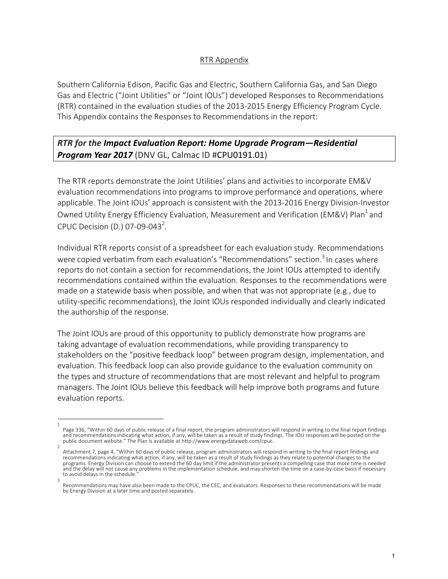### RTR Appendix

Southern California Edison, Pacific Gas and Electric, Southern California Gas, and San Diego Gas and Electric ("Joint Utilities" or "Joint IOUs") developed Responses to Recommendations (RTR) contained in the evaluation studies of the 2013-2015 Energy Efficiency Program Cycle. This Appendix contains the Responses to Recommendations in the report:

# *RTR for the Impact Evaluation Report: Home Upgrade Program—Residential Program Year 2017* (DNV GL, Calmac ID #CPU0191.01)

The RTR reports demonstrate the Joint Utilities' plans and activities to incorporate EM&V evaluation recommendations into programs to improve performance and operations, where applicable. The Joint IOUs' approach is consistent with the 2013-2016 Energy Division-Investor Owned Utility Energy Efficiency Evaluation, Measurement and Verification (EM&V) Plan<sup>1</sup> and CPUC Decision (D.) 07-09-043<sup>2</sup>.

Individual RTR reports consist of a spreadsheet for each evaluation study. Recommendations were copied verbatim from each evaluation's "Recommendations" section.<sup>3</sup> In cases where reports do not contain a section for recommendations, the Joint IOUs attempted to identify recommendations contained within the evaluation. Responses to the recommendations were made on a statewide basis when possible, and when that was not appropriate (e.g., due to utility-specific recommendations), the Joint IOUs responded individually and clearly indicated the authorship of the response.

The Joint IOUs are proud of this opportunity to publicly demonstrate how programs are taking advantage of evaluation recommendations, while providing transparency to stakeholders on the "positive feedback loop" between program design, implementation, and evaluation. This feedback loop can also provide guidance to the evaluation community on the types and structure of recommendations that are most relevant and helpful to program managers. The Joint IOUs believe this feedback will help improve both programs and future evaluation reports.

<sup>1</sup>  Page 336, "Within 60 days of public release of a final report, the program administrators will respond in writing to the final report findings and recommendations indicating what action, if any, will be taken as a result of study findings. The IOU responses will be posted on the public document website." The Plan is available at http://www.energydataweb.com/cpuc.

Attachment 7, page 4, "Within 60 days of public release, program administrators will respond in writing to the final report findings and recommendations indicating what action, if any, will be taken as a result of study findings as they relate to potential changes to the programs. Energy Division can choose to extend the 60 day limit if the administrator presents a compelling case that more time is needed and the delay will not cause any problems in the implementation schedule, and may shorten the time on a case-by-case basis if necessary to avoid delays in the schedule. 3

Recommendations may have also been made to the CPUC, the CEC, and evaluators. Responses to these recommendations will be made by Energy Division at a later time and posted separately.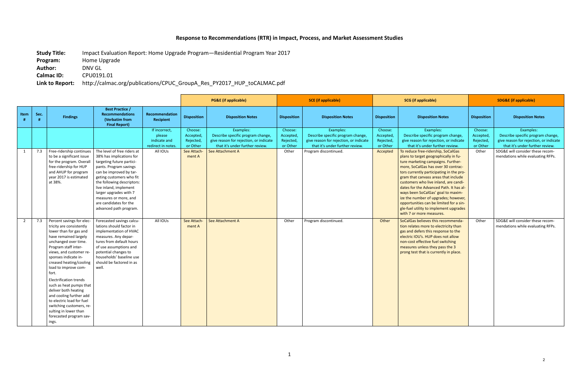# **Response to Recommendations (RTR) in Impact, Process, and Market Assessment Studies**

**Study Title:** Impact Evaluation Report: Home Upgrade Program—Residential Program Year 2017 **Program:** Home Upgrade **Author:** DNV GL **Calmac ID:** CPU0191.01

# **Link to Report:** http://calmac.org/publications/CPUC\_GroupA\_Res\_PY2017\_HUP\_toCALMAC.pdf

|                |      |                                                                                                                                                                                                                                                                                                                                                                                                                                                                                                              |                                                                                                                                                                                                                                                                                                                                      |                                                               |                                               | <b>PG&amp;E</b> (if applicable)                                                                                             | <b>SCE</b> (if applicable)                    |                                                                                                                             | <b>SCG</b> (if applicable)                    |                                                                                                                                                                                                                                                                                                                                                                                                                                                                                                                                 | <b>SDG&amp;E</b> (if applicable)              |                                                                                                                             |
|----------------|------|--------------------------------------------------------------------------------------------------------------------------------------------------------------------------------------------------------------------------------------------------------------------------------------------------------------------------------------------------------------------------------------------------------------------------------------------------------------------------------------------------------------|--------------------------------------------------------------------------------------------------------------------------------------------------------------------------------------------------------------------------------------------------------------------------------------------------------------------------------------|---------------------------------------------------------------|-----------------------------------------------|-----------------------------------------------------------------------------------------------------------------------------|-----------------------------------------------|-----------------------------------------------------------------------------------------------------------------------------|-----------------------------------------------|---------------------------------------------------------------------------------------------------------------------------------------------------------------------------------------------------------------------------------------------------------------------------------------------------------------------------------------------------------------------------------------------------------------------------------------------------------------------------------------------------------------------------------|-----------------------------------------------|-----------------------------------------------------------------------------------------------------------------------------|
| Item<br>#      | Sec. | <b>Findings</b>                                                                                                                                                                                                                                                                                                                                                                                                                                                                                              | <b>Best Practice /</b><br><b>Recommendations</b><br>(Verbatim from<br><b>Final Report)</b>                                                                                                                                                                                                                                           | Recommendation<br>Recipient                                   | <b>Disposition</b>                            | <b>Disposition Notes</b>                                                                                                    | <b>Disposition</b>                            | <b>Disposition Notes</b>                                                                                                    | <b>Disposition</b>                            | <b>Disposition Notes</b>                                                                                                                                                                                                                                                                                                                                                                                                                                                                                                        | <b>Disposition</b>                            | <b>Disposition Notes</b>                                                                                                    |
|                |      |                                                                                                                                                                                                                                                                                                                                                                                                                                                                                                              |                                                                                                                                                                                                                                                                                                                                      | If incorrect,<br>please<br>indicate and<br>redirect in notes. | Choose:<br>Accepted,<br>Rejected,<br>or Other | Examples:<br>Describe specific program change,<br>give reason for rejection, or indicate<br>that it's under further review. | Choose:<br>Accepted,<br>Rejected,<br>or Other | Examples:<br>Describe specific program change,<br>give reason for rejection, or indicate<br>that it's under further review. | Choose:<br>Accepted,<br>Rejected,<br>or Other | Examples:<br>Describe specific program change,<br>give reason for rejection, or indicate<br>that it's under further review.                                                                                                                                                                                                                                                                                                                                                                                                     | Choose:<br>Accepted,<br>Rejected,<br>or Other | Examples:<br>Describe specific program change,<br>give reason for rejection, or indicate<br>that it's under further review. |
| $\mathbf{1}$   | 7.3  | Free-ridership continues<br>to be a significant issue<br>for the program. Overall<br>free-ridership for HUP<br>and AHUP for program<br>year 2017 is estimated<br>at 38%.                                                                                                                                                                                                                                                                                                                                     | The level of free riders at<br>38% has implications for<br>targeting future partici-<br>pants. Program savings<br>can be improved by tar-<br>geting customers who fit<br>the following descriptors:<br>live inland, implement<br>larger upgrades with 7<br>measures or more, and<br>are candidates for the<br>advanced path program. | All IOUs                                                      | See Attach-<br>ment A                         | See Attachment A                                                                                                            | Other                                         | Program discontinued.                                                                                                       | Accepted                                      | To reduce free-ridership, SoCalGas<br>plans to target geographically in fu-<br>ture marketing campaigns. Further-<br>more, SoCalGas has over 30 contrac-<br>tors currently participating in the pro-<br>gram that canvass areas that include<br>customers who live inland, are candi-<br>dates for the Advanced Path. It has al-<br>ways been SoCalGas' goal to maxim-<br>ize the number of upgrades; however,<br>opportunities can be limited for a sin-<br>gle-fuel utility to implement upgrades<br>with 7 or more measures. | Other                                         | SDG&E will consider these recom-<br>mendations while evaluating RFPs.                                                       |
| $\overline{2}$ | 7.3  | Percent savings for elec-<br>tricity are consistently<br>lower than for gas and<br>have remained largely<br>unchanged over time.<br>Program staff inter-<br>views, and customer re-<br>sponses indicate in-<br>creased heating/cooling<br>load to improve com-<br>fort.<br><b>Electrification trends</b><br>such as heat pumps that<br>deliver both heating<br>and cooling further add<br>to electric load for fuel<br>switching customers, re-<br>sulting in lower than<br>forecasted program sav-<br>ings. | Forecasted savings calcu-<br>lations should factor in<br>implementation of HVAC<br>measures. Any depar-<br>tures from default hours<br>of use assumptions and<br>potential changes to<br>households' baseline use<br>should be factored in as<br>well.                                                                               | All IOUs                                                      | See Attach-<br>ment A                         | See Attachment A                                                                                                            | Other                                         | Program discontinued.                                                                                                       | Other                                         | SoCalGas believes this recommenda-<br>tion relates more to electricity than<br>gas and defers this response to the<br>electric IOU's. HUP does not allow<br>non-cost effective fuel switching<br>measures unless they pass the 3<br>prong test that is currently in place.                                                                                                                                                                                                                                                      | Other                                         | SDG&E will consider these recom-<br>mendations while evaluating RFPs.                                                       |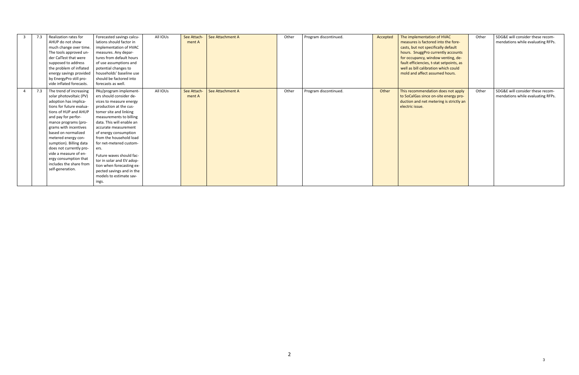| 7.3<br>3 | Realization rates for    | Forecasted savings calcu- | All IOUs | See Attach- | See Attachment A | Other | Program discontinued. | Accepted | The implementation of HVAC               | Other | SDG&E will consider these recom-  |
|----------|--------------------------|---------------------------|----------|-------------|------------------|-------|-----------------------|----------|------------------------------------------|-------|-----------------------------------|
|          | AHUP do not show         | lations should factor in  |          | ment A      |                  |       |                       |          | measures is factored into the fore-      |       | mendations while evaluating RFPs. |
|          | much change over time.   | implementation of HVAC    |          |             |                  |       |                       |          | casts, but not specifically default      |       |                                   |
|          | The tools approved un-   | measures. Any depar-      |          |             |                  |       |                       |          | hours. SnuggPro currently accounts       |       |                                   |
|          | der CalTest that were    | tures from default hours  |          |             |                  |       |                       |          | for occupancy, window venting, de-       |       |                                   |
|          | supposed to address      | of use assumptions and    |          |             |                  |       |                       |          | fault efficiencies, t-stat setpoints, as |       |                                   |
|          | the problem of inflated  | potential changes to      |          |             |                  |       |                       |          | well as bill calibration which could     |       |                                   |
|          | energy savings provided  | households' baseline use  |          |             |                  |       |                       |          | mold and affect assumed hours.           |       |                                   |
|          | by EnergyPro still pro-  | should be factored into   |          |             |                  |       |                       |          |                                          |       |                                   |
|          | vide inflated forecasts. | forecasts as well.        |          |             |                  |       |                       |          |                                          |       |                                   |
| 7.3      | The trend of increasing  | PAs/program implement-    | All IOUs | See Attach- | See Attachment A | Other | Program discontinued. | Other    | This recommendation does not apply       | Other | SDG&E will consider these recom-  |
|          | solar photovoltaic (PV)  | ers should consider de-   |          | ment A      |                  |       |                       |          | to SoCalGas since on-site energy pro-    |       | mendations while evaluating RFPs. |
|          | adoption has implica-    | vices to measure energy   |          |             |                  |       |                       |          | duction and net metering is strictly an  |       |                                   |
|          | tions for future evalua- | production at the cus-    |          |             |                  |       |                       |          | electric issue.                          |       |                                   |
|          | tions of HUP and AHUP    | tomer site and linking    |          |             |                  |       |                       |          |                                          |       |                                   |
|          | and pay for perfor-      | measurements to billing   |          |             |                  |       |                       |          |                                          |       |                                   |
|          | mance programs (pro-     | data. This will enable an |          |             |                  |       |                       |          |                                          |       |                                   |
|          | grams with incentives    | accurate measurement      |          |             |                  |       |                       |          |                                          |       |                                   |
|          | based on normalized      | of energy consumption     |          |             |                  |       |                       |          |                                          |       |                                   |
|          | metered energy con-      | from the household load   |          |             |                  |       |                       |          |                                          |       |                                   |
|          | sumption). Billing data  | for net-metered custom-   |          |             |                  |       |                       |          |                                          |       |                                   |
|          | does not currently pro-  | ers.                      |          |             |                  |       |                       |          |                                          |       |                                   |
|          | vide a measure of en-    | Future waves should fac-  |          |             |                  |       |                       |          |                                          |       |                                   |
|          | ergy consumption that    | tor in solar and EV adop- |          |             |                  |       |                       |          |                                          |       |                                   |
|          | includes the share from  | tion when forecasting ex- |          |             |                  |       |                       |          |                                          |       |                                   |
|          | self-generation.         | pected savings and in the |          |             |                  |       |                       |          |                                          |       |                                   |
|          |                          | models to estimate sav-   |          |             |                  |       |                       |          |                                          |       |                                   |
|          |                          | ings.                     |          |             |                  |       |                       |          |                                          |       |                                   |
|          |                          |                           |          |             |                  |       |                       |          |                                          |       |                                   |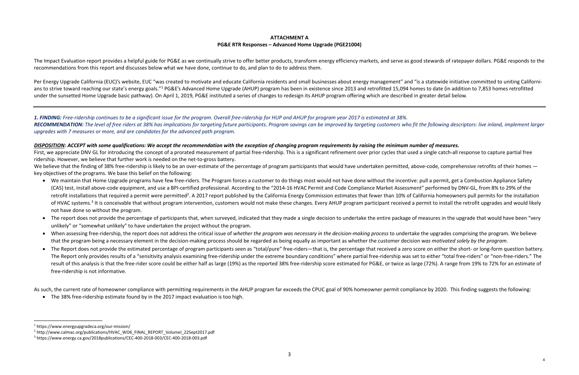## **ATTACHMENT A PG&E RTR Responses – Advanced Home Upgrade (PGE21004)**

The Impact Evaluation report provides a helpful guide for PG&E as we continually strive to offer better products, transform energy efficiency markets, and serve as good stewards of ratepayer dollars. PG&E responds to the recommendations from this report and discusses below what we have done, continue to do, and plan to do to address them.

Per Energy Upgrade California (EUC)'s website, EUC "was created to motivate and educate California residents and small businesses about energy management" and "is a statewide initiative committed to uniting Californians to strive toward reaching our state's energy goals."<sup>1</sup> PG&E's Advanced Home Upgrade (AHUP) program has been in existence since 2013 and retrofitted 15,094 homes to date (in addition to 7,853 homes retrofitted under the sunsetted Home Upgrade basic pathway). On April 1, 2019, PG&E instituted a series of changes to redesign its AHUP program offering which are described in greater detail below.

We believe that the finding of 38% free-ridership is likely to be an over-estimate of the percentage of program participants that would have undertaken permitted, above-code, comprehensive retrofits of their homes key objectives of the programs. We base this belief on the following:

*1. FINDING: Free-ridership continues to be a significant issue for the program. Overall free-ridership for HUP and AHUP for program year 2017 is estimated at 38%.* RECOMMENDATION: The level of free riders at 38% has implications for targeting future participants. Program savings can be improved by targeting customers who fit the following descriptors: live inland, implement larger *upgrades with 7 measures or more, and are candidates for the advanced path program.*

*DISPOSITION: ACCEPT with some qualifications: We accept the recommendation with the exception of changing program requirements by raising the minimum number of measures.* First, we appreciate DNV GL for introducing the concept of a prorated measurement of partial free-ridership. This is a significant refinement over prior cycles that used a single catch-all response to capture partial free ridership. However, we believe that further work is needed on the net-to-gross battery.

- We maintain that Home Upgrade programs have few free-riders. The Program forces a customer to do things most would not have done without the incentive: pull a permit, get a Combustion Appliance Safety (CAS) test, install above-code equipment, and use a BPI-certified professional. According to the "2014-16 HVAC Permit and Code Compliance Market Assessment" performed by DNV-GL, from 8% to 29% of the retrofit installations that required a permit were permitted<sup>2</sup>. A 2017 report published by the California Energy Commission estimates that fewer than 10% of California homeowners pull permits for the installation of HVAC systems.<sup>3</sup> It is conceivable that without program intervention, customers would not make these changes. Every AHUP program participant received a permit to install the retrofit upgrades and would likely not have done so without the program.
- The report does not provide the percentage of participants that, when surveyed, indicated that they made a single decision to undertake the entire package of measures in the upgrade that would have been "very unlikely" or "somewhat unlikely" to have undertaken the project without the program.
- When assessing free-ridership, the report does not address the critical issue of *whether the program was necessary in the decision-making process* to undertake the upgrades comprising the program. We believe that the program being a necessary element in the decision-making process should be regarded as being equally as important as whether the customer decision *was motivated solely by the program*.
- The Report does not provide the estimated percentage of program participants seen as "total/pure" free-riders—that is, the percentage that received a zero score on either the short- or long-form question battery. The Report only provides results of a "sensitivity analysis examining free-ridership under the extreme boundary conditions" where partial free-ridership was set to either "total free-riders" or "non-free-riders." The result of this analysis is that the free-rider score could be either half as large (19%) as the reported 38% free-ridership score estimated for PG&E, or twice as large (72%). A range from 19% to 72% for an estimate of free-ridership is not informative.

As such, the current rate of homeowner compliance with permitting requirements in the AHUP program far exceeds the CPUC goal of 90% homeowner permit compliance by 2020. This finding suggests the following:

• The 38% free-ridership estimate found by in the 2017 impact evaluation is too high.

 <sup>1</sup> https://www.energyupgradeca.org/our-mission/

<sup>&</sup>lt;sup>2</sup> http://www.calmac.org/publications/HVAC\_WO6\_FINAL\_REPORT\_VolumeI\_22Sept2017.pdf

<sup>3</sup> https://www.energy.ca.gov/2018publications/CEC-400-2018-003/CEC-400-2018-003.pdf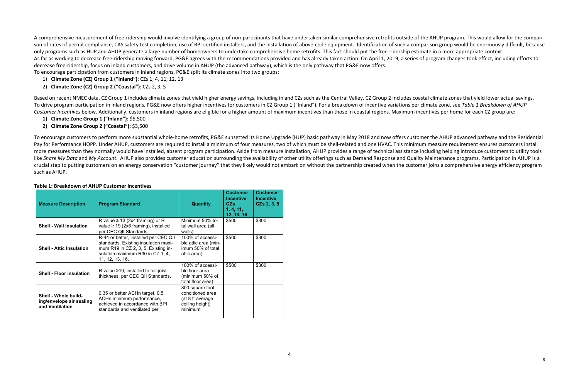A comprehensive measurement of free-ridership would involve identifying a group of non-participants that have undertaken similar comprehensive retrofits outside of the AHUP program. This would allow for the comparison of rates of permit compliance, CAS safety test completion, use of BPI-certified installers, and the installation of above-code equipment. Identification of such a comparison group would be enormously difficult, because only programs such as HUP and AHUP generate a large number of homeowners to undertake comprehensive home retrofits. This fact should put the free-ridership estimate in a more appropriate context. As far as working to decrease free-ridership moving forward, PG&E agrees with the recommendations provided and has already taken action. On April 1, 2019, a series of program changes took effect, including efforts to decrease free-ridership, focus on inland customers, and drive volume in AHUP (the advanced pathway), which is the only pathway that PG&E now offers. To encourage participation from customers in inland regions, PG&E split its climate zones into two groups:

Based on recent NMEC data, CZ Group 1 includes climate zones that yield higher energy savings, including inland CZs such as the Central Valley. CZ Group 2 includes coastal climate zones that yield lower actual savings. To drive program participation in inland regions, PG&E now offers higher incentives for customers in CZ Group 1 ("Inland"). For a breakdown of incentive variations per climate zone, see Table 1 Breakdown of AHUP *Customer Incentives* below. Additionally, customers in inland regions are eligible for a higher amount of maximum incentives than those in coastal regions. Maximum incentives per home for each CZ group are:

- 1) **Climate Zone (CZ) Group 1 ("Inland")**: CZs 1, 4, 11, 12, 13
- 2) **Climate Zone (CZ) Group 2 ("Coastal")**: CZs 2, 3, 5

- **1) Climate Zone Group 1 ("Inland"):** \$5,500
- **2) Climate Zone Group 2 ("Coastal"):** \$3,500

To encourage customers to perform more substantial whole-home retrofits, PG&E sunsetted its Home Upgrade (HUP) basic pathway in May 2018 and now offers customer the AHUP advanced pathway and the Residential Pay for Performance HOPP. Under AHUP, customers are required to install a minimum of four measures, two of which must be shell-related and one HVAC. This minimum measure requirement ensures customers install more measures than they normally would have installed, absent program participation. Aside from measure installation, AHUP provides a range of technical assistance including helping introduce customers to utility tools like Share My Data and My Account. AHUP also provides customer education surrounding the availability of other utility offerings such as Demand Response and Quality Maintenance programs. Participation in AHUP is a crucial step to putting customers on an energy conservation "customer journey" that they likely would not embark on without the partnership created when the customer joins a comprehensive energy efficiency program such as AHUP.

#### **Table 1: Breakdown of AHUP Customer Incentives**

| <b>Measure Description</b>                                          | <b>Program Standard</b>                                                                                                                                                     | <b>Quantity</b>                                                                       | <b>Customer</b><br><b>Incentive</b><br>CZs<br>1, 4, 11,<br>12, 13, 16 | <b>Customer</b><br><b>Incentive</b><br>$CZs$ 2, 3, 5 |
|---------------------------------------------------------------------|-----------------------------------------------------------------------------------------------------------------------------------------------------------------------------|---------------------------------------------------------------------------------------|-----------------------------------------------------------------------|------------------------------------------------------|
| <b>Shell - Wall insulation</b>                                      | R value $\geq$ 13 (2x4 framing) or R<br>value $\geq$ 19 (2x6 framing), installed<br>per CEC QII Standards.                                                                  | Minimum 50% to-<br>tal wall area (all<br>walls)                                       | \$500                                                                 | \$300                                                |
| <b>Shell - Attic Insulation</b>                                     | R-44 or better, installed per CEC QII<br>standards. Existing insulation maxi-<br>mum R19 in CZ 2, 3, 5. Existing in-<br>sulation maximum R30 in CZ 1, 4,<br>11, 12, 13, 16. | 100% of accessi-<br>ble attic area (min-<br>imum 50% of total<br>attic area)          | \$500                                                                 | \$300                                                |
| <b>Shell - Floor insulation</b>                                     | R value $\geq$ 19, installed to full-joist<br>thickness, per CEC QII Standards.                                                                                             | 100% of accessi-<br>ble floor area<br>(minimum 50% of<br>total floor area)            | \$500                                                                 | \$300                                                |
| Shell - Whole build-<br>ing/envelope air sealing<br>and Ventilation | 0.35 or better ACHn target, 0.5<br>ACHn minimum performance,<br>achieved in accordance with BPI<br>standards and ventilated per                                             | 800 square foot<br>conditioned area<br>(at 8 ft average<br>ceiling height)<br>minimum |                                                                       |                                                      |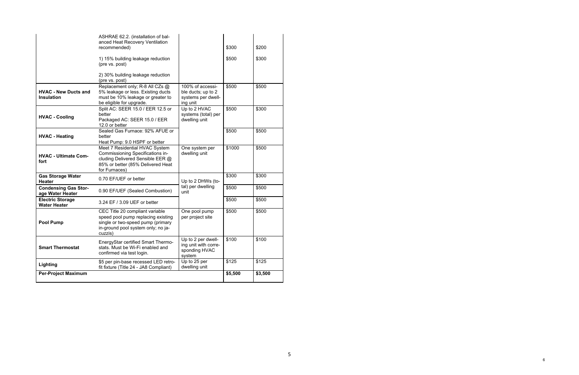| <b>Per-Project Maximum</b>                       |                                                                                                                                                              |                                                                          | \$5,500 | \$3,500 |
|--------------------------------------------------|--------------------------------------------------------------------------------------------------------------------------------------------------------------|--------------------------------------------------------------------------|---------|---------|
| Lighting                                         | \$5 per pin-base recessed LED retro-<br>fit fixture (Title 24 - JA8 Compliant)                                                                               | Up to 25 per<br>dwelling unit                                            | \$125   | \$125   |
| <b>Smart Thermostat</b>                          | EnergyStar certified Smart Thermo-<br>stats. Must be Wi-Fi enabled and<br>confirmed via test login.                                                          | Up to 2 per dwell-<br>ing unit with corre-<br>sponding HVAC<br>system    | \$100   | \$100   |
| <b>Pool Pump</b>                                 | CEC Title 20 compliant variable<br>speed pool pump replacing existing<br>single or two-speed pump (primary<br>in-ground pool system only; no ja-<br>cuzzis)  | One pool pump<br>per project site                                        | \$500   | \$500   |
| <b>Electric Storage</b><br><b>Water Heater</b>   | 3.24 EF / 3.09 UEF or better                                                                                                                                 |                                                                          | \$500   | \$500   |
| <b>Condensing Gas Stor-</b><br>age Water Heater  | 0.90 EF/UEF (Sealed Combustion)                                                                                                                              | tal) per dwelling<br>unit                                                | \$500   | \$500   |
| <b>Gas Storage Water</b><br><b>Heater</b>        | 0.70 EF/UEF or better                                                                                                                                        | Up to 2 DHWs (to-                                                        | \$300   | \$300   |
| <b>HVAC - Ultimate Com-</b><br>fort              | Meet 7 Residential HVAC System<br>Commissioning Specifications in-<br>cluding Delivered Sensible EER @<br>85% or better (85% Delivered Heat<br>for Furnaces) | One system per<br>dwelling unit                                          | \$1000  | \$500   |
| <b>HVAC - Heating</b>                            | Sealed Gas Furnace: 92% AFUE or<br>better<br>Heat Pump: 9.0 HSPF or better                                                                                   |                                                                          | \$500   | \$500   |
| <b>HVAC - Cooling</b>                            | Split AC: SEER 15.0 / EER 12.5 or<br>better<br>Packaged AC: SEER 15.0 / EER<br>12.0 or better                                                                | Up to 2 HVAC<br>systems (total) per<br>dwelling unit                     | \$500   | \$300   |
| <b>HVAC - New Ducts and</b><br><b>Insulation</b> | Replacement only; R-8 All CZs @<br>5% leakage or less. Existing ducts<br>must be 10% leakage or greater to<br>be eligible for upgrade.                       | 100% of accessi-<br>ble ducts; up to 2<br>systems per dwell-<br>ing unit | \$500   | \$500   |
|                                                  | 2) 30% building leakage reduction<br>(pre vs. post)                                                                                                          |                                                                          |         |         |
|                                                  | 1) 15% building leakage reduction<br>(pre vs. post)                                                                                                          |                                                                          | \$500   | \$300   |
|                                                  | ASHRAE 62.2. (installation of bal-<br>anced Heat Recovery Ventilation<br>recommended)                                                                        |                                                                          | \$300   | \$200   |

6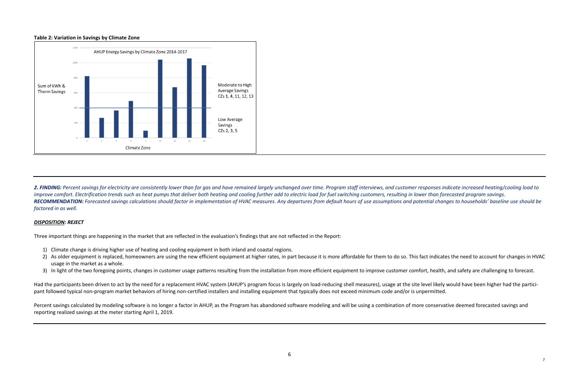#### **Table 2: Variation in Savings by Climate Zone**



2. FINDING: Percent savings for electricity are consistently lower than for gas and have remained largely unchanged over time. Program staff interviews, and customer responses indicate increased heating/cooling load to improve comfort. Electrification trends such as heat pumps that deliver both heating and cooling further add to electric load for fuel switching customers, resulting in lower than forecasted program savings. RECOMMENDATION: Forecasted savings calculations should factor in implementation of HVAC measures. Any departures from default hours of use assumptions and potential changes to households' baseline use should be *factored in as well.*

- 1) Climate change is driving higher use of heating and cooling equipment in both inland and coastal regions.
- 2) As older equipment is replaced, homeowners are using the new efficient equipment at higher rates, in part because it is more affordable for them to do so. This fact indicates the need to account for changes in HVAC usage in the market as a whole.
- 3) In light of the two foregoing points, changes in customer usage patterns resulting from the installation from more efficient equipment to improve customer comfort, health, and safety are challenging to forecast.

#### *DISPOSITION: REJECT*

Three important things are happening in the market that are reflected in the evaluation's findings that are not reflected in the Report:

Percent savings calculated by modeling software is no longer a factor in AHUP, as the Program has abandoned software modeling and will be using a combination of more conservative deemed forecasted savings and reporting realized savings at the meter starting April 1, 2019.

Had the participants been driven to act by the need for a replacement HVAC system (AHUP's program focus is largely on load-reducing shell measures), usage at the site level likely would have been higher had the participant followed typical non-program market behaviors of hiring non-certified installers and installing equipment that typically does not exceed minimum code and/or is unpermitted.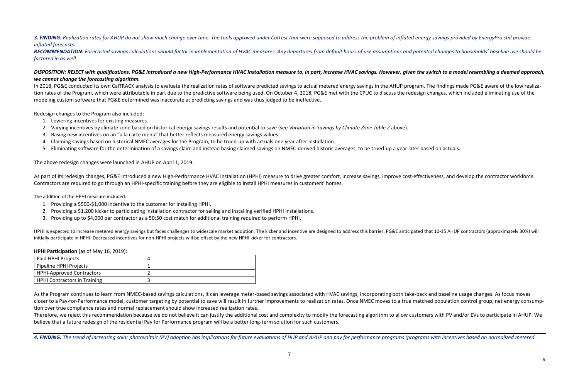# 3. FINDING: Realization rates for AHUP do not show much change over time. The tools approved under CalTest that were supposed to address the problem of inflated energy savings provided by EnergyPro still provide *inflated forecasts.*

RECOMMENDATION: Forecasted savings calculations should factor in implementation of HVAC measures. Any departures from default hours of use assumptions and potential changes to households' baseline use should be *factored in as well.*

# DISPOSITION: REJECT with qualifications. PG&E introduced a new High-Performance HVAC Installation measure to, in part, increase HVAC savings. However, given the switch to a model resembling a deemed approach, *we cannot change the forecasting algorithm.*

In 2018, PG&E conducted its own CalTRACK analysis to evaluate the realization rates of software predicted savings to actual metered energy savings in the AHUP program. The findings made PG&E aware of the low realization rates of the Program, which were attributable in part due to the predictive software being used. On October 4, 2018, PG&E met with the CPUC to discuss the redesign changes, which included eliminating use of the modeling custom software that PG&E determined was inaccurate at predicting savings and was thus judged to be ineffective.

Redesign changes to the Program also included:

HPHI is expected to increase metered energy savings but faces challenges to widescale market adoption. The kicker and incentive are designed to address this barrier. PG&E anticipated that 10-15 AHUP contractors (approximat initially participate in HPHI. Decreased incentives for non-HPHI projects will be offset by the new HPHI kicker for contractors.

- 1. Lowering incentives for existing measures.
- 2. Varying incentives by climate zone based on historical energy savings results and potential to save (see *Variation in Savings by Climate Zone Table 2* above).
- 3. Basing new incentives on an "a la carte menu" that better reflects measured energy savings values.
- 4. Claiming savings based on historical NMEC averages for the Program, to be trued-up with actuals one year after installation.
- 5. Eliminating software for the determination of a savings claim and instead basing claimed savings on NMEC-derived historic averages, to be trued-up a year later based on actuals.

As the Program continues to learn from NMEC-based savings calculations, it can leverage meter-based savings associated with HVAC savings, incorporating both take-back and baseline usage changes. As focus moves closer to a Pay-for-Performance model, customer targeting by potential to save will result in further improvements to realization rates. Once NMEC moves to a true matched population control group, net energy consumption over true compliance rates and normal replacement should show increased realization rates.

The above redesign changes were launched in AHUP on April 1, 2019.

As part of its redesign changes, PG&E introduced a new High-Performance HVAC Installation (HPHI) measure to drive greater comfort, increase savings, improve cost-effectiveness, and develop the contractor workforce. Contractors are required to go through an HPHI-specific training before they are eligible to install HPHI measures in customers' homes.

The addition of the HPHI measure included:

- 1. Providing a \$500-\$1,000 incentive to the customer for installing HPHI.
- 2. Providing a \$1,200 kicker to participating installation contractor for selling and installing verified HPHI installations.
- 3. Providing up to \$4,000 per contractor as a 50:50 cost match for additional training required to perform HPHI.

**HPHI Participation** (as of May 16, 2019):

| Paid HPHI Projects                  |  |
|-------------------------------------|--|
| Pipeline HPHI Projects              |  |
| <b>HPHI-Approved Contractors</b>    |  |
| <b>HPHI Contractors in Training</b> |  |

Therefore, we reject this recommendation because we do not believe it can justify the additional cost and complexity to modify the forecasting algorithm to allow customers with PV and/or EVs to participate in AHUP. We believe that a future redesign of the residential Pay for Performance program will be a better long-term solution for such customers.

4. FINDING: The trend of increasing solar photovoltaic (PV) adoption has implications for future evaluations of HUP and AHUP and pay for performance programs (programs with incentives based on normalized metered